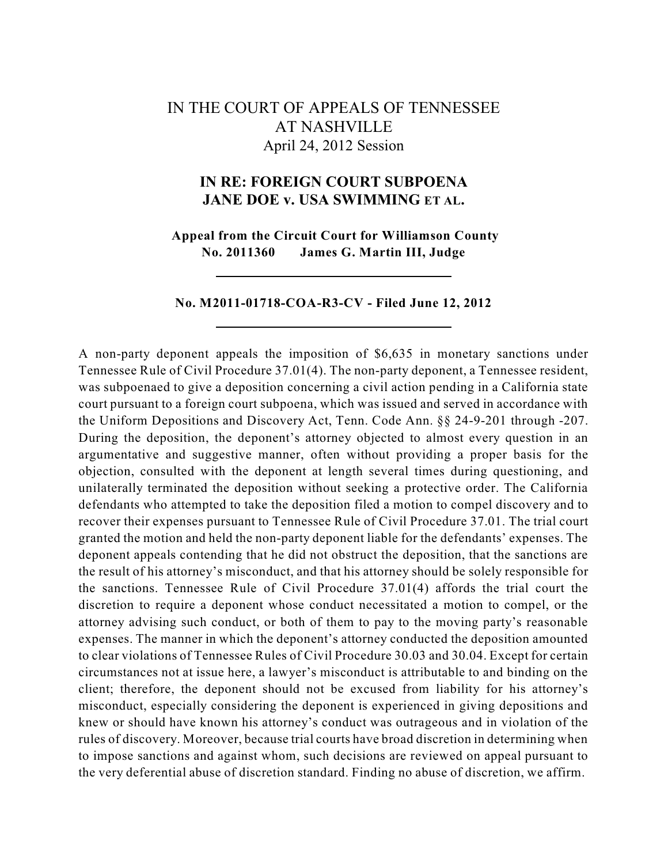# IN THE COURT OF APPEALS OF TENNESSEE AT NASHVILLE April 24, 2012 Session

## **IN RE: FOREIGN COURT SUBPOENA JANE DOE v. USA SWIMMING ET AL.**

**Appeal from the Circuit Court for Williamson County No. 2011360 James G. Martin III, Judge**

#### **No. M2011-01718-COA-R3-CV - Filed June 12, 2012**

A non-party deponent appeals the imposition of \$6,635 in monetary sanctions under Tennessee Rule of Civil Procedure 37.01(4). The non-party deponent, a Tennessee resident, was subpoenaed to give a deposition concerning a civil action pending in a California state court pursuant to a foreign court subpoena, which was issued and served in accordance with the Uniform Depositions and Discovery Act, Tenn. Code Ann. §§ 24-9-201 through -207. During the deposition, the deponent's attorney objected to almost every question in an argumentative and suggestive manner, often without providing a proper basis for the objection, consulted with the deponent at length several times during questioning, and unilaterally terminated the deposition without seeking a protective order. The California defendants who attempted to take the deposition filed a motion to compel discovery and to recover their expenses pursuant to Tennessee Rule of Civil Procedure 37.01. The trial court granted the motion and held the non-party deponent liable for the defendants' expenses. The deponent appeals contending that he did not obstruct the deposition, that the sanctions are the result of his attorney's misconduct, and that his attorney should be solely responsible for the sanctions. Tennessee Rule of Civil Procedure 37.01(4) affords the trial court the discretion to require a deponent whose conduct necessitated a motion to compel, or the attorney advising such conduct, or both of them to pay to the moving party's reasonable expenses. The manner in which the deponent's attorney conducted the deposition amounted to clear violations of Tennessee Rules of Civil Procedure 30.03 and 30.04. Except for certain circumstances not at issue here, a lawyer's misconduct is attributable to and binding on the client; therefore, the deponent should not be excused from liability for his attorney's misconduct, especially considering the deponent is experienced in giving depositions and knew or should have known his attorney's conduct was outrageous and in violation of the rules of discovery. Moreover, because trial courts have broad discretion in determining when to impose sanctions and against whom, such decisions are reviewed on appeal pursuant to the very deferential abuse of discretion standard. Finding no abuse of discretion, we affirm.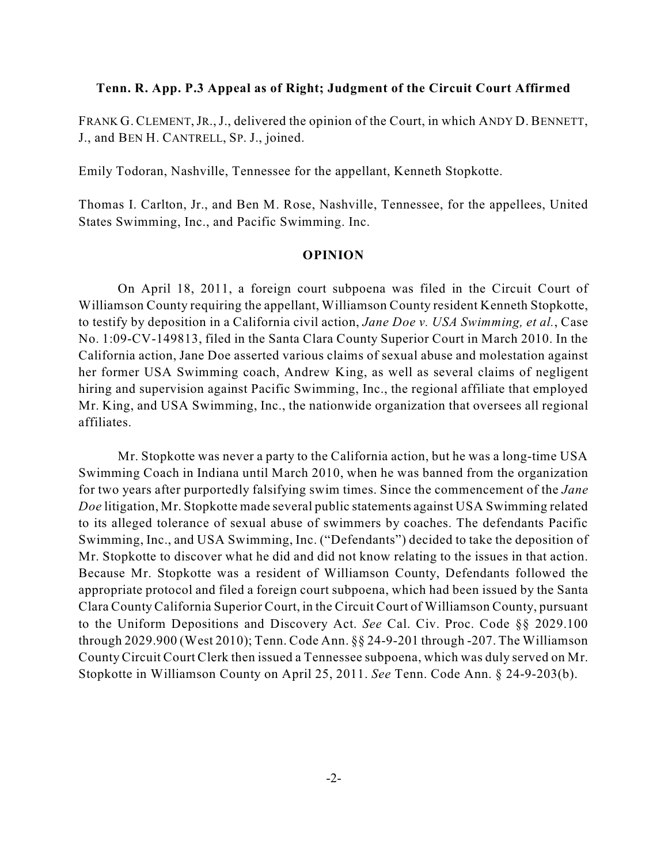#### **Tenn. R. App. P.3 Appeal as of Right; Judgment of the Circuit Court Affirmed**

FRANK G. CLEMENT, JR., J., delivered the opinion of the Court, in which ANDY D. BENNETT, J., and BEN H. CANTRELL, SP. J., joined.

Emily Todoran, Nashville, Tennessee for the appellant, Kenneth Stopkotte.

Thomas I. Carlton, Jr., and Ben M. Rose, Nashville, Tennessee, for the appellees, United States Swimming, Inc., and Pacific Swimming. Inc.

#### **OPINION**

On April 18, 2011, a foreign court subpoena was filed in the Circuit Court of Williamson County requiring the appellant, Williamson County resident Kenneth Stopkotte, to testify by deposition in a California civil action, *Jane Doe v. USA Swimming, et al.*, Case No. 1:09-CV-149813, filed in the Santa Clara County Superior Court in March 2010. In the California action, Jane Doe asserted various claims of sexual abuse and molestation against her former USA Swimming coach, Andrew King, as well as several claims of negligent hiring and supervision against Pacific Swimming, Inc., the regional affiliate that employed Mr. King, and USA Swimming, Inc., the nationwide organization that oversees all regional affiliates.

Mr. Stopkotte was never a party to the California action, but he was a long-time USA Swimming Coach in Indiana until March 2010, when he was banned from the organization for two years after purportedly falsifying swim times. Since the commencement of the *Jane Doe* litigation, Mr. Stopkotte made several public statements against USA Swimming related to its alleged tolerance of sexual abuse of swimmers by coaches. The defendants Pacific Swimming, Inc., and USA Swimming, Inc. ("Defendants") decided to take the deposition of Mr. Stopkotte to discover what he did and did not know relating to the issues in that action. Because Mr. Stopkotte was a resident of Williamson County, Defendants followed the appropriate protocol and filed a foreign court subpoena, which had been issued by the Santa Clara CountyCalifornia Superior Court, in the Circuit Court of Williamson County, pursuant to the Uniform Depositions and Discovery Act. *See* Cal. Civ. Proc. Code §§ 2029.100 through 2029.900 (West 2010); Tenn. Code Ann. §§ 24-9-201 through -207. The Williamson County Circuit Court Clerk then issued a Tennessee subpoena, which was duly served on Mr. Stopkotte in Williamson County on April 25, 2011. *See* Tenn. Code Ann. § 24-9-203(b).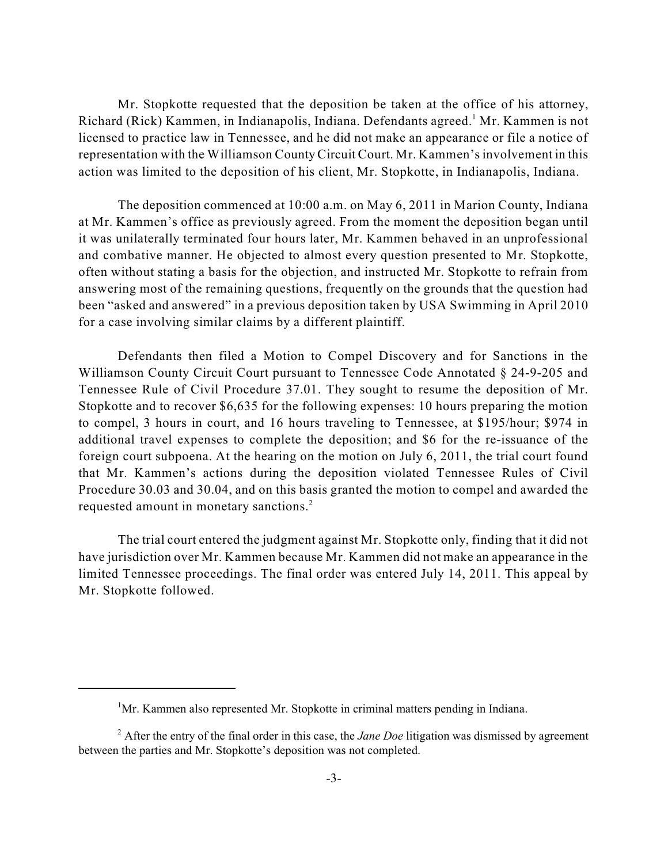Mr. Stopkotte requested that the deposition be taken at the office of his attorney, Richard (Rick) Kammen, in Indianapolis, Indiana. Defendants agreed.<sup>1</sup> Mr. Kammen is not licensed to practice law in Tennessee, and he did not make an appearance or file a notice of representation with the Williamson County Circuit Court. Mr. Kammen'sinvolvement in this action was limited to the deposition of his client, Mr. Stopkotte, in Indianapolis, Indiana.

The deposition commenced at 10:00 a.m. on May 6, 2011 in Marion County, Indiana at Mr. Kammen's office as previously agreed. From the moment the deposition began until it was unilaterally terminated four hours later, Mr. Kammen behaved in an unprofessional and combative manner. He objected to almost every question presented to Mr. Stopkotte, often without stating a basis for the objection, and instructed Mr. Stopkotte to refrain from answering most of the remaining questions, frequently on the grounds that the question had been "asked and answered" in a previous deposition taken by USA Swimming in April 2010 for a case involving similar claims by a different plaintiff.

Defendants then filed a Motion to Compel Discovery and for Sanctions in the Williamson County Circuit Court pursuant to Tennessee Code Annotated § 24-9-205 and Tennessee Rule of Civil Procedure 37.01. They sought to resume the deposition of Mr. Stopkotte and to recover \$6,635 for the following expenses: 10 hours preparing the motion to compel, 3 hours in court, and 16 hours traveling to Tennessee, at \$195/hour; \$974 in additional travel expenses to complete the deposition; and \$6 for the re-issuance of the foreign court subpoena. At the hearing on the motion on July 6, 2011, the trial court found that Mr. Kammen's actions during the deposition violated Tennessee Rules of Civil Procedure 30.03 and 30.04, and on this basis granted the motion to compel and awarded the requested amount in monetary sanctions.<sup>2</sup>

The trial court entered the judgment against Mr. Stopkotte only, finding that it did not have jurisdiction over Mr. Kammen because Mr. Kammen did not make an appearance in the limited Tennessee proceedings. The final order was entered July 14, 2011. This appeal by Mr. Stopkotte followed.

 ${}^{1}$ Mr. Kammen also represented Mr. Stopkotte in criminal matters pending in Indiana.

 $^2$  After the entry of the final order in this case, the *Jane Doe* litigation was dismissed by agreement between the parties and Mr. Stopkotte's deposition was not completed.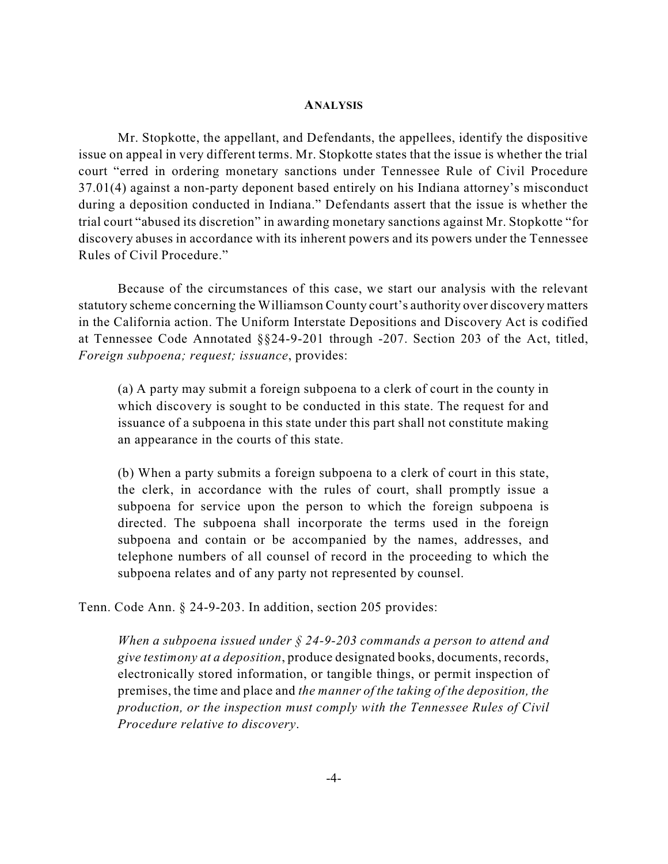#### **ANALYSIS**

Mr. Stopkotte, the appellant, and Defendants, the appellees, identify the dispositive issue on appeal in very different terms. Mr. Stopkotte states that the issue is whether the trial court "erred in ordering monetary sanctions under Tennessee Rule of Civil Procedure 37.01(4) against a non-party deponent based entirely on his Indiana attorney's misconduct during a deposition conducted in Indiana." Defendants assert that the issue is whether the trial court "abused its discretion" in awarding monetary sanctions against Mr. Stopkotte "for discovery abuses in accordance with its inherent powers and its powers under the Tennessee Rules of Civil Procedure."

Because of the circumstances of this case, we start our analysis with the relevant statutory scheme concerning the Williamson County court's authority over discovery matters in the California action. The Uniform Interstate Depositions and Discovery Act is codified at Tennessee Code Annotated §§24-9-201 through -207. Section 203 of the Act, titled, *Foreign subpoena; request; issuance*, provides:

(a) A party may submit a foreign subpoena to a clerk of court in the county in which discovery is sought to be conducted in this state. The request for and issuance of a subpoena in this state under this part shall not constitute making an appearance in the courts of this state.

(b) When a party submits a foreign subpoena to a clerk of court in this state, the clerk, in accordance with the rules of court, shall promptly issue a subpoena for service upon the person to which the foreign subpoena is directed. The subpoena shall incorporate the terms used in the foreign subpoena and contain or be accompanied by the names, addresses, and telephone numbers of all counsel of record in the proceeding to which the subpoena relates and of any party not represented by counsel.

Tenn. Code Ann. § 24-9-203. In addition, section 205 provides:

*When a subpoena issued under § 24-9-203 commands a person to attend and give testimony at a deposition*, produce designated books, documents, records, electronically stored information, or tangible things, or permit inspection of premises, the time and place and *the manner of the taking of the deposition, the production, or the inspection must comply with the Tennessee Rules of Civil Procedure relative to discovery*.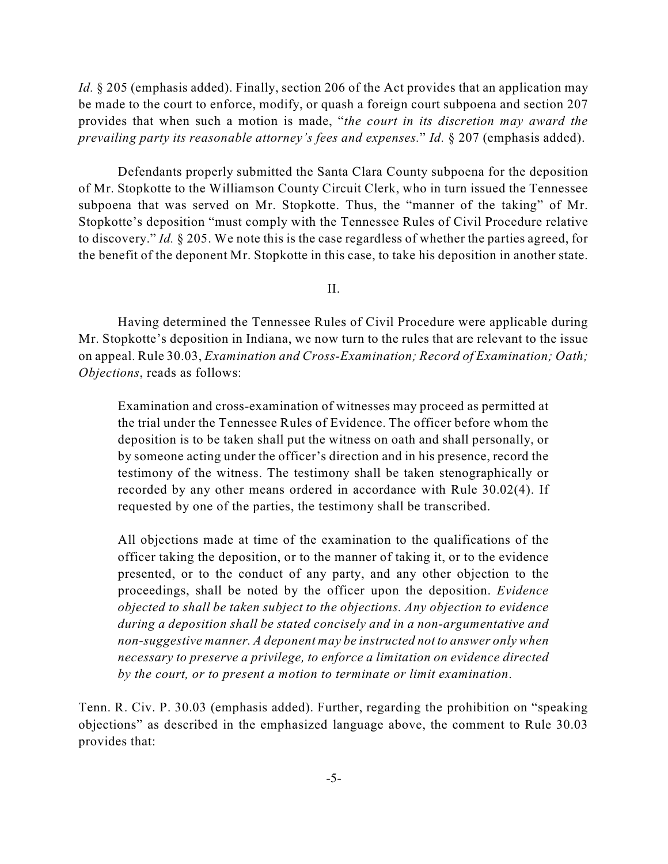*Id.* § 205 (emphasis added). Finally, section 206 of the Act provides that an application may be made to the court to enforce, modify, or quash a foreign court subpoena and section 207 provides that when such a motion is made, "*the court in its discretion may award the prevailing party its reasonable attorney's fees and expenses.*" *Id.* § 207 (emphasis added).

Defendants properly submitted the Santa Clara County subpoena for the deposition of Mr. Stopkotte to the Williamson County Circuit Clerk, who in turn issued the Tennessee subpoena that was served on Mr. Stopkotte. Thus, the "manner of the taking" of Mr. Stopkotte's deposition "must comply with the Tennessee Rules of Civil Procedure relative to discovery." *Id.* § 205. We note this is the case regardless of whether the parties agreed, for the benefit of the deponent Mr. Stopkotte in this case, to take his deposition in another state.

II.

Having determined the Tennessee Rules of Civil Procedure were applicable during Mr. Stopkotte's deposition in Indiana, we now turn to the rules that are relevant to the issue on appeal. Rule 30.03, *Examination and Cross-Examination; Record of Examination; Oath; Objections*, reads as follows:

Examination and cross-examination of witnesses may proceed as permitted at the trial under the Tennessee Rules of Evidence. The officer before whom the deposition is to be taken shall put the witness on oath and shall personally, or by someone acting under the officer's direction and in his presence, record the testimony of the witness. The testimony shall be taken stenographically or recorded by any other means ordered in accordance with Rule 30.02(4). If requested by one of the parties, the testimony shall be transcribed.

All objections made at time of the examination to the qualifications of the officer taking the deposition, or to the manner of taking it, or to the evidence presented, or to the conduct of any party, and any other objection to the proceedings, shall be noted by the officer upon the deposition. *Evidence objected to shall be taken subject to the objections. Any objection to evidence during a deposition shall be stated concisely and in a non-argumentative and non-suggestive manner. A deponent may be instructed not to answer only when necessary to preserve a privilege, to enforce a limitation on evidence directed by the court, or to present a motion to terminate or limit examination*.

Tenn. R. Civ. P. 30.03 (emphasis added). Further, regarding the prohibition on "speaking objections" as described in the emphasized language above, the comment to Rule 30.03 provides that: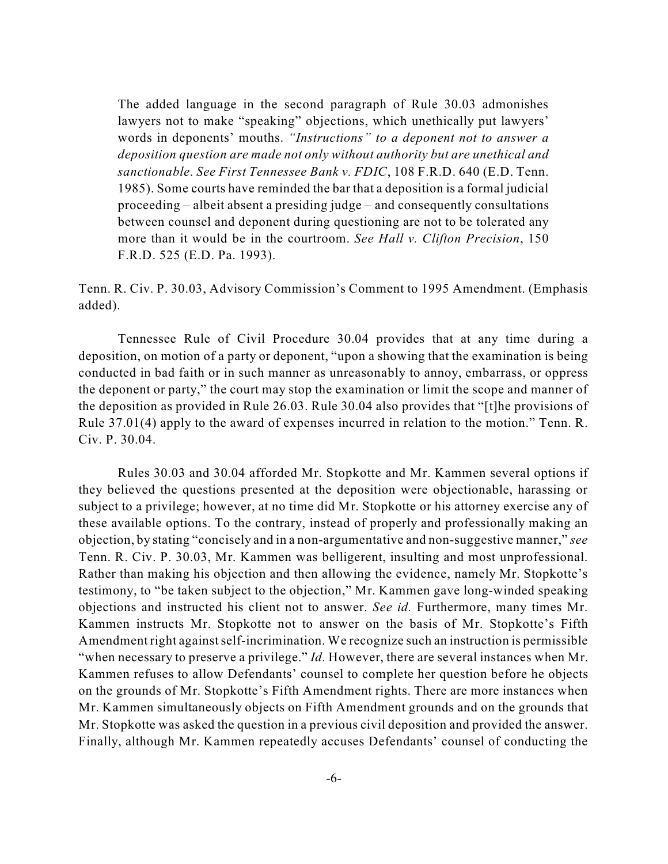The added language in the second paragraph of Rule 30.03 admonishes lawyers not to make "speaking" objections, which unethically put lawyers' words in deponents' mouths. *"Instructions" to a deponent not to answer a deposition question are made not only without authority but are unethical and sanctionable*. *See First Tennessee Bank v. FDIC*, 108 F.R.D. 640 (E.D. Tenn. 1985). Some courts have reminded the bar that a deposition is a formal judicial proceeding – albeit absent a presiding judge – and consequently consultations between counsel and deponent during questioning are not to be tolerated any more than it would be in the courtroom. *See Hall v. Clifton Precision*, 150 F.R.D. 525 (E.D. Pa. 1993).

Tenn. R. Civ. P. 30.03, Advisory Commission's Comment to 1995 Amendment. (Emphasis added).

Tennessee Rule of Civil Procedure 30.04 provides that at any time during a deposition, on motion of a party or deponent, "upon a showing that the examination is being conducted in bad faith or in such manner as unreasonably to annoy, embarrass, or oppress the deponent or party," the court may stop the examination or limit the scope and manner of the deposition as provided in Rule 26.03. Rule 30.04 also provides that "[t]he provisions of Rule 37.01(4) apply to the award of expenses incurred in relation to the motion." Tenn. R. Civ. P. 30.04.

Rules 30.03 and 30.04 afforded Mr. Stopkotte and Mr. Kammen several options if they believed the questions presented at the deposition were objectionable, harassing or subject to a privilege; however, at no time did Mr. Stopkotte or his attorney exercise any of these available options. To the contrary, instead of properly and professionally making an objection, by stating "concisely and in a non-argumentative and non-suggestive manner," *see* Tenn. R. Civ. P. 30.03, Mr. Kammen was belligerent, insulting and most unprofessional. Rather than making his objection and then allowing the evidence, namely Mr. Stopkotte's testimony, to "be taken subject to the objection," Mr. Kammen gave long-winded speaking objections and instructed his client not to answer. *See id.* Furthermore, many times Mr. Kammen instructs Mr. Stopkotte not to answer on the basis of Mr. Stopkotte's Fifth Amendment right against self-incrimination. We recognize such an instruction is permissible "when necessary to preserve a privilege." *Id*. However, there are several instances when Mr. Kammen refuses to allow Defendants' counsel to complete her question before he objects on the grounds of Mr. Stopkotte's Fifth Amendment rights. There are more instances when Mr. Kammen simultaneously objects on Fifth Amendment grounds and on the grounds that Mr. Stopkotte was asked the question in a previous civil deposition and provided the answer. Finally, although Mr. Kammen repeatedly accuses Defendants' counsel of conducting the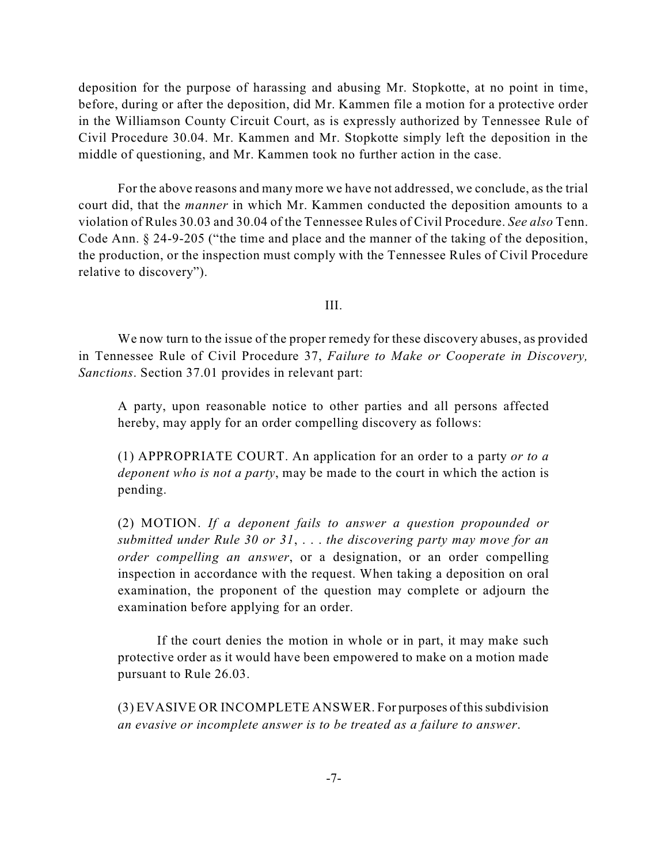deposition for the purpose of harassing and abusing Mr. Stopkotte, at no point in time, before, during or after the deposition, did Mr. Kammen file a motion for a protective order in the Williamson County Circuit Court, as is expressly authorized by Tennessee Rule of Civil Procedure 30.04. Mr. Kammen and Mr. Stopkotte simply left the deposition in the middle of questioning, and Mr. Kammen took no further action in the case.

For the above reasons and many more we have not addressed, we conclude, as the trial court did, that the *manner* in which Mr. Kammen conducted the deposition amounts to a violation of Rules 30.03 and 30.04 of the Tennessee Rules of Civil Procedure. *See also* Tenn. Code Ann. § 24-9-205 ("the time and place and the manner of the taking of the deposition, the production, or the inspection must comply with the Tennessee Rules of Civil Procedure relative to discovery").

III.

We now turn to the issue of the proper remedy for these discovery abuses, as provided in Tennessee Rule of Civil Procedure 37, *Failure to Make or Cooperate in Discovery, Sanctions*. Section 37.01 provides in relevant part:

A party, upon reasonable notice to other parties and all persons affected hereby, may apply for an order compelling discovery as follows:

(1) APPROPRIATE COURT. An application for an order to a party *or to a deponent who is not a party*, may be made to the court in which the action is pending.

(2) MOTION. *If a deponent fails to answer a question propounded or submitted under Rule 30 or 31*, . . . *the discovering party may move for an order compelling an answer*, or a designation, or an order compelling inspection in accordance with the request. When taking a deposition on oral examination, the proponent of the question may complete or adjourn the examination before applying for an order.

If the court denies the motion in whole or in part, it may make such protective order as it would have been empowered to make on a motion made pursuant to Rule 26.03.

(3) EVASIVE OR INCOMPLETE ANSWER. For purposes of thissubdivision *an evasive or incomplete answer is to be treated as a failure to answer*.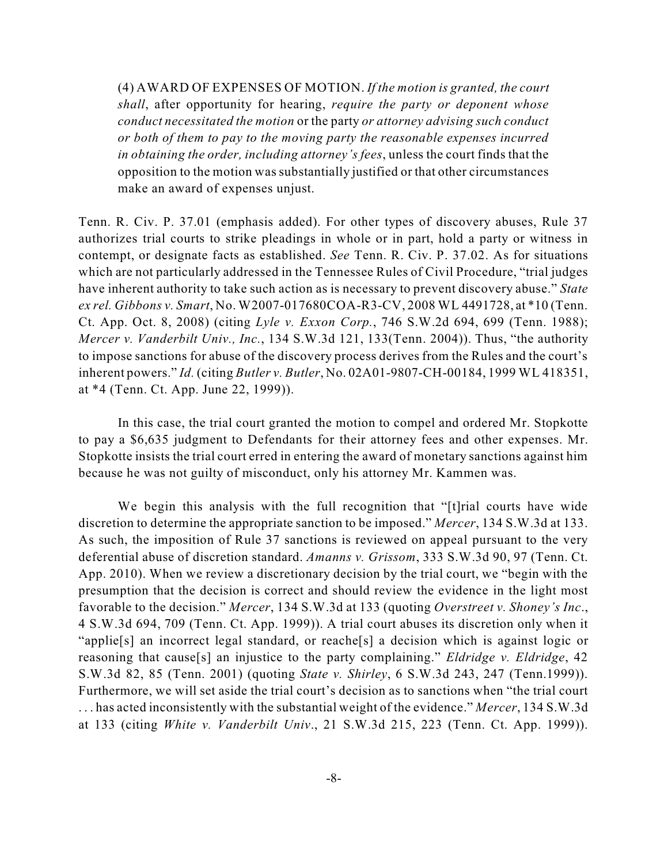(4) AWARD OF EXPENSES OF MOTION. *If the motion is granted, the court shall*, after opportunity for hearing, *require the party or deponent whose conduct necessitated the motion* or the party *or attorney advising such conduct or both of them to pay to the moving party the reasonable expenses incurred in obtaining the order, including attorney's fees*, unless the court finds that the opposition to the motion was substantially justified or that other circumstances make an award of expenses unjust.

Tenn. R. Civ. P. 37.01 (emphasis added). For other types of discovery abuses, Rule 37 authorizes trial courts to strike pleadings in whole or in part, hold a party or witness in contempt, or designate facts as established. *See* Tenn. R. Civ. P. 37.02. As for situations which are not particularly addressed in the Tennessee Rules of Civil Procedure, "trial judges have inherent authority to take such action as is necessary to prevent discovery abuse." *State ex rel. Gibbons v. Smart*, No. W2007-017680COA-R3-CV, 2008 WL 4491728, at \*10 (Tenn. Ct. App. Oct. 8, 2008) (citing *Lyle v. Exxon Corp.*, 746 S.W.2d 694, 699 (Tenn. 1988); *Mercer v. Vanderbilt Univ., Inc.*, 134 S.W.3d 121, 133(Tenn. 2004)). Thus, "the authority to impose sanctions for abuse of the discovery process derives from the Rules and the court's inherent powers." *Id.* (citing *Butler v. Butler*, No. 02A01-9807-CH-00184, 1999 WL 418351, at \*4 (Tenn. Ct. App. June 22, 1999)).

In this case, the trial court granted the motion to compel and ordered Mr. Stopkotte to pay a \$6,635 judgment to Defendants for their attorney fees and other expenses. Mr. Stopkotte insists the trial court erred in entering the award of monetary sanctions against him because he was not guilty of misconduct, only his attorney Mr. Kammen was.

We begin this analysis with the full recognition that "[t]rial courts have wide discretion to determine the appropriate sanction to be imposed." *Mercer*, 134 S.W.3d at 133. As such, the imposition of Rule 37 sanctions is reviewed on appeal pursuant to the very deferential abuse of discretion standard. *Amanns v. Grissom*, 333 S.W.3d 90, 97 (Tenn. Ct. App. 2010). When we review a discretionary decision by the trial court, we "begin with the presumption that the decision is correct and should review the evidence in the light most favorable to the decision." *Mercer*, 134 S.W.3d at 133 (quoting *Overstreet v. Shoney's Inc*., 4 S.W.3d 694, 709 (Tenn. Ct. App. 1999)). A trial court abuses its discretion only when it "applie[s] an incorrect legal standard, or reache[s] a decision which is against logic or reasoning that cause[s] an injustice to the party complaining." *Eldridge v. Eldridge*, 42 S.W.3d 82, 85 (Tenn. 2001) (quoting *State v. Shirley*, 6 S.W.3d 243, 247 (Tenn.1999)). Furthermore, we will set aside the trial court's decision as to sanctions when "the trial court . . . has acted inconsistently with the substantial weight of the evidence." *Mercer*, 134 S.W.3d at 133 (citing *White v. Vanderbilt Univ*., 21 S.W.3d 215, 223 (Tenn. Ct. App. 1999)).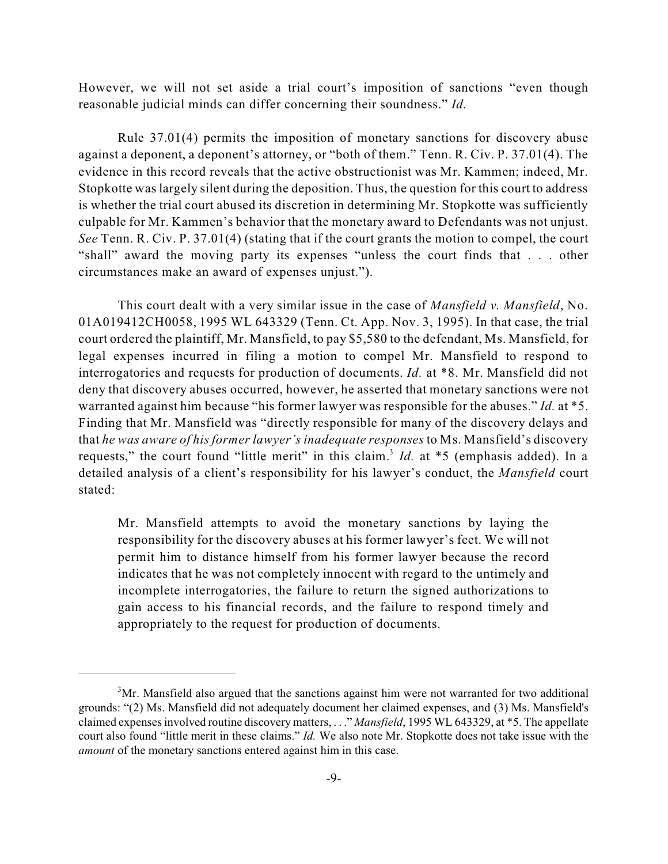However, we will not set aside a trial court's imposition of sanctions "even though reasonable judicial minds can differ concerning their soundness." *Id.*

Rule 37.01(4) permits the imposition of monetary sanctions for discovery abuse against a deponent, a deponent's attorney, or "both of them." Tenn. R. Civ. P. 37.01(4). The evidence in this record reveals that the active obstructionist was Mr. Kammen; indeed, Mr. Stopkotte was largely silent during the deposition. Thus, the question for this court to address is whether the trial court abused its discretion in determining Mr. Stopkotte was sufficiently culpable for Mr. Kammen's behavior that the monetary award to Defendants was not unjust. *See* Tenn. R. Civ. P. 37.01(4) (stating that if the court grants the motion to compel, the court "shall" award the moving party its expenses "unless the court finds that . . . other circumstances make an award of expenses unjust.").

This court dealt with a very similar issue in the case of *Mansfield v. Mansfield*, No. 01A019412CH0058, 1995 WL 643329 (Tenn. Ct. App. Nov. 3, 1995). In that case, the trial court ordered the plaintiff, Mr. Mansfield, to pay \$5,580 to the defendant, Ms. Mansfield, for legal expenses incurred in filing a motion to compel Mr. Mansfield to respond to interrogatories and requests for production of documents. *Id.* at \*8. Mr. Mansfield did not deny that discovery abuses occurred, however, he asserted that monetary sanctions were not warranted against him because "his former lawyer was responsible for the abuses." *Id.* at \*5. Finding that Mr. Mansfield was "directly responsible for many of the discovery delays and that *he was aware of his former lawyer's inadequate responses* to Ms. Mansfield's discovery requests," the court found "little merit" in this claim.<sup>3</sup> *Id.* at \*5 (emphasis added). In a detailed analysis of a client's responsibility for his lawyer's conduct, the *Mansfield* court stated:

Mr. Mansfield attempts to avoid the monetary sanctions by laying the responsibility for the discovery abuses at his former lawyer's feet. We will not permit him to distance himself from his former lawyer because the record indicates that he was not completely innocent with regard to the untimely and incomplete interrogatories, the failure to return the signed authorizations to gain access to his financial records, and the failure to respond timely and appropriately to the request for production of documents.

 $<sup>3</sup>Mr$ . Mansfield also argued that the sanctions against him were not warranted for two additional</sup> grounds: "(2) Ms. Mansfield did not adequately document her claimed expenses, and (3) Ms. Mansfield's claimed expenses involved routine discovery matters, . . ." *Mansfield*, 1995 WL 643329, at \*5. The appellate court also found "little merit in these claims." *Id.* We also note Mr. Stopkotte does not take issue with the *amount* of the monetary sanctions entered against him in this case.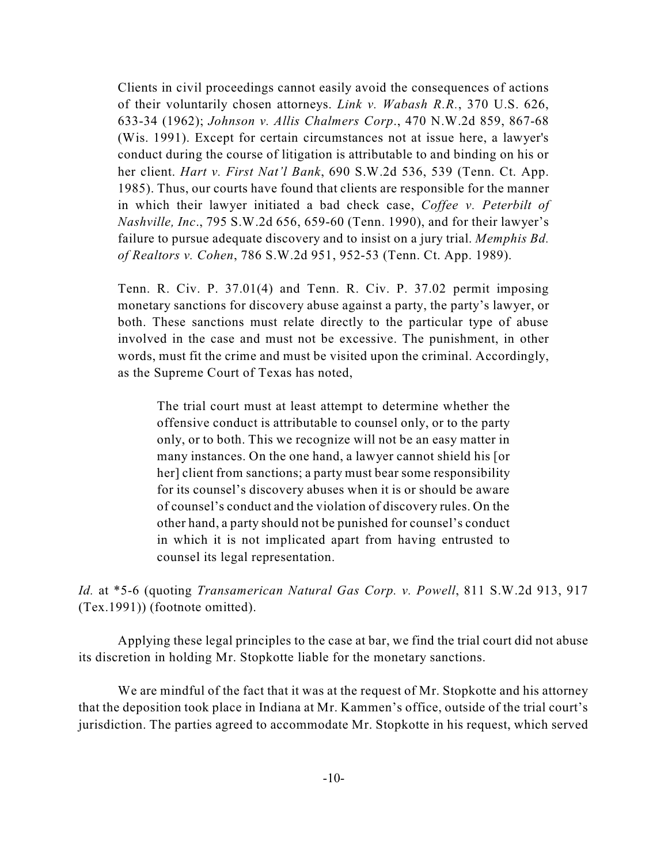Clients in civil proceedings cannot easily avoid the consequences of actions of their voluntarily chosen attorneys. *Link v. Wabash R.R.*, 370 U.S. 626, 633-34 (1962); *Johnson v. Allis Chalmers Corp*., 470 N.W.2d 859, 867-68 (Wis. 1991). Except for certain circumstances not at issue here, a lawyer's conduct during the course of litigation is attributable to and binding on his or her client. *Hart v. First Nat'l Bank*, 690 S.W.2d 536, 539 (Tenn. Ct. App. 1985). Thus, our courts have found that clients are responsible for the manner in which their lawyer initiated a bad check case, *Coffee v. Peterbilt of Nashville, Inc*., 795 S.W.2d 656, 659-60 (Tenn. 1990), and for their lawyer's failure to pursue adequate discovery and to insist on a jury trial. *Memphis Bd. of Realtors v. Cohen*, 786 S.W.2d 951, 952-53 (Tenn. Ct. App. 1989).

Tenn. R. Civ. P. 37.01(4) and Tenn. R. Civ. P. 37.02 permit imposing monetary sanctions for discovery abuse against a party, the party's lawyer, or both. These sanctions must relate directly to the particular type of abuse involved in the case and must not be excessive. The punishment, in other words, must fit the crime and must be visited upon the criminal. Accordingly, as the Supreme Court of Texas has noted,

The trial court must at least attempt to determine whether the offensive conduct is attributable to counsel only, or to the party only, or to both. This we recognize will not be an easy matter in many instances. On the one hand, a lawyer cannot shield his [or her] client from sanctions; a party must bear some responsibility for its counsel's discovery abuses when it is or should be aware of counsel's conduct and the violation of discovery rules. On the other hand, a party should not be punished for counsel's conduct in which it is not implicated apart from having entrusted to counsel its legal representation.

*Id.* at \*5-6 (quoting *Transamerican Natural Gas Corp. v. Powell*, 811 S.W.2d 913, 917 (Tex.1991)) (footnote omitted).

Applying these legal principles to the case at bar, we find the trial court did not abuse its discretion in holding Mr. Stopkotte liable for the monetary sanctions.

We are mindful of the fact that it was at the request of Mr. Stopkotte and his attorney that the deposition took place in Indiana at Mr. Kammen's office, outside of the trial court's jurisdiction. The parties agreed to accommodate Mr. Stopkotte in his request, which served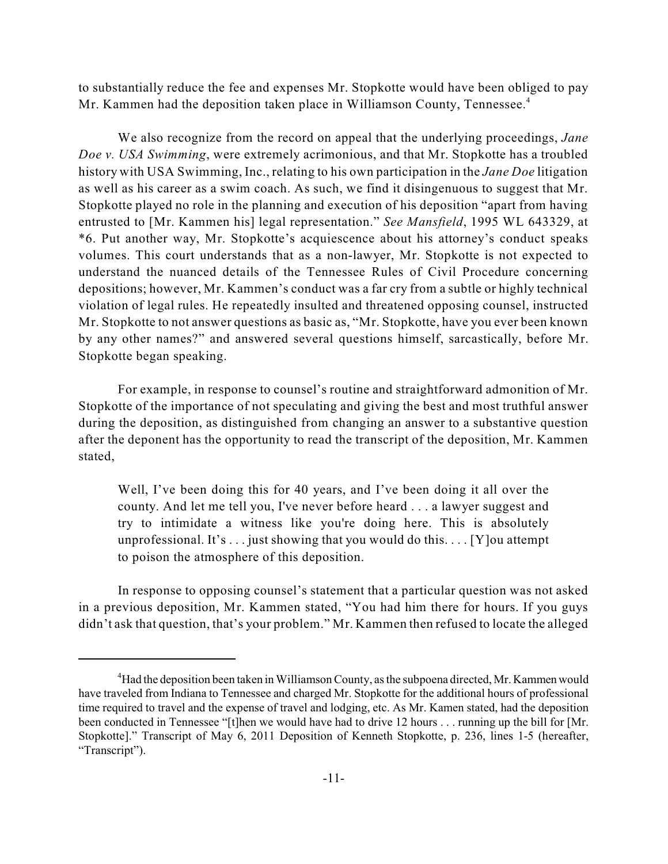to substantially reduce the fee and expenses Mr. Stopkotte would have been obliged to pay Mr. Kammen had the deposition taken place in Williamson County, Tennessee. 4

We also recognize from the record on appeal that the underlying proceedings, *Jane Doe v. USA Swimming*, were extremely acrimonious, and that Mr. Stopkotte has a troubled history with USA Swimming, Inc., relating to his own participation in the *Jane Doe* litigation as well as his career as a swim coach. As such, we find it disingenuous to suggest that Mr. Stopkotte played no role in the planning and execution of his deposition "apart from having entrusted to [Mr. Kammen his] legal representation." *See Mansfield*, 1995 WL 643329, at \*6. Put another way, Mr. Stopkotte's acquiescence about his attorney's conduct speaks volumes. This court understands that as a non-lawyer, Mr. Stopkotte is not expected to understand the nuanced details of the Tennessee Rules of Civil Procedure concerning depositions; however, Mr. Kammen's conduct was a far cry from a subtle or highly technical violation of legal rules. He repeatedly insulted and threatened opposing counsel, instructed Mr. Stopkotte to not answer questions as basic as, "Mr. Stopkotte, have you ever been known by any other names?" and answered several questions himself, sarcastically, before Mr. Stopkotte began speaking.

For example, in response to counsel's routine and straightforward admonition of Mr. Stopkotte of the importance of not speculating and giving the best and most truthful answer during the deposition, as distinguished from changing an answer to a substantive question after the deponent has the opportunity to read the transcript of the deposition, Mr. Kammen stated,

Well, I've been doing this for 40 years, and I've been doing it all over the county. And let me tell you, I've never before heard . . . a lawyer suggest and try to intimidate a witness like you're doing here. This is absolutely unprofessional. It's  $\dots$  just showing that you would do this.  $\dots$  [Y] ou attempt to poison the atmosphere of this deposition.

In response to opposing counsel's statement that a particular question was not asked in a previous deposition, Mr. Kammen stated, "You had him there for hours. If you guys didn't ask that question, that's your problem." Mr. Kammen then refused to locate the alleged

<sup>&</sup>lt;sup>4</sup>Had the deposition been taken in Williamson County, as the subpoena directed, Mr. Kammen would have traveled from Indiana to Tennessee and charged Mr. Stopkotte for the additional hours of professional time required to travel and the expense of travel and lodging, etc. As Mr. Kamen stated, had the deposition been conducted in Tennessee "[t]hen we would have had to drive 12 hours . . . running up the bill for [Mr. Stopkotte]." Transcript of May 6, 2011 Deposition of Kenneth Stopkotte, p. 236, lines 1-5 (hereafter, "Transcript").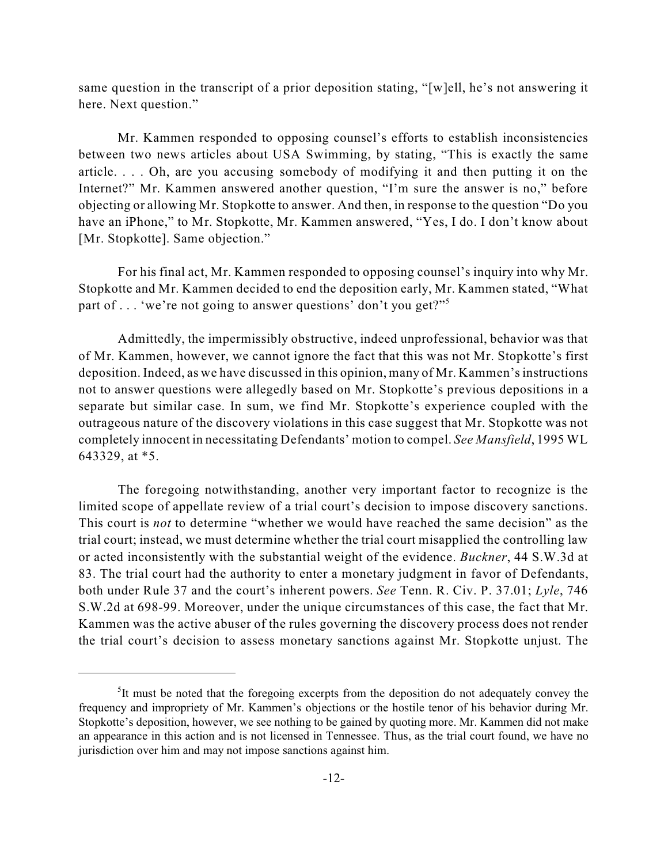same question in the transcript of a prior deposition stating, "[w]ell, he's not answering it here. Next question."

Mr. Kammen responded to opposing counsel's efforts to establish inconsistencies between two news articles about USA Swimming, by stating, "This is exactly the same article. . . . Oh, are you accusing somebody of modifying it and then putting it on the Internet?" Mr. Kammen answered another question, "I'm sure the answer is no," before objecting or allowing Mr. Stopkotte to answer. And then, in response to the question "Do you have an iPhone," to Mr. Stopkotte, Mr. Kammen answered, "Yes, I do. I don't know about [Mr. Stopkotte]. Same objection."

For his final act, Mr. Kammen responded to opposing counsel's inquiry into why Mr. Stopkotte and Mr. Kammen decided to end the deposition early, Mr. Kammen stated, "What part of . . . 'we're not going to answer questions' don't you get?"<sup>5</sup>

Admittedly, the impermissibly obstructive, indeed unprofessional, behavior was that of Mr. Kammen, however, we cannot ignore the fact that this was not Mr. Stopkotte's first deposition. Indeed, as we have discussed in this opinion, many of Mr. Kammen'sinstructions not to answer questions were allegedly based on Mr. Stopkotte's previous depositions in a separate but similar case. In sum, we find Mr. Stopkotte's experience coupled with the outrageous nature of the discovery violations in this case suggest that Mr. Stopkotte was not completely innocent in necessitating Defendants' motion to compel. *See Mansfield*, 1995 WL 643329, at \*5.

The foregoing notwithstanding, another very important factor to recognize is the limited scope of appellate review of a trial court's decision to impose discovery sanctions. This court is *not* to determine "whether we would have reached the same decision" as the trial court; instead, we must determine whether the trial court misapplied the controlling law or acted inconsistently with the substantial weight of the evidence. *Buckner*, 44 S.W.3d at 83. The trial court had the authority to enter a monetary judgment in favor of Defendants, both under Rule 37 and the court's inherent powers. *See* Tenn. R. Civ. P. 37.01; *Lyle*, 746 S.W.2d at 698-99. Moreover, under the unique circumstances of this case, the fact that Mr. Kammen was the active abuser of the rules governing the discovery process does not render the trial court's decision to assess monetary sanctions against Mr. Stopkotte unjust. The

 $I$ <sup>5</sup>It must be noted that the foregoing excerpts from the deposition do not adequately convey the frequency and impropriety of Mr. Kammen's objections or the hostile tenor of his behavior during Mr. Stopkotte's deposition, however, we see nothing to be gained by quoting more. Mr. Kammen did not make an appearance in this action and is not licensed in Tennessee. Thus, as the trial court found, we have no jurisdiction over him and may not impose sanctions against him.